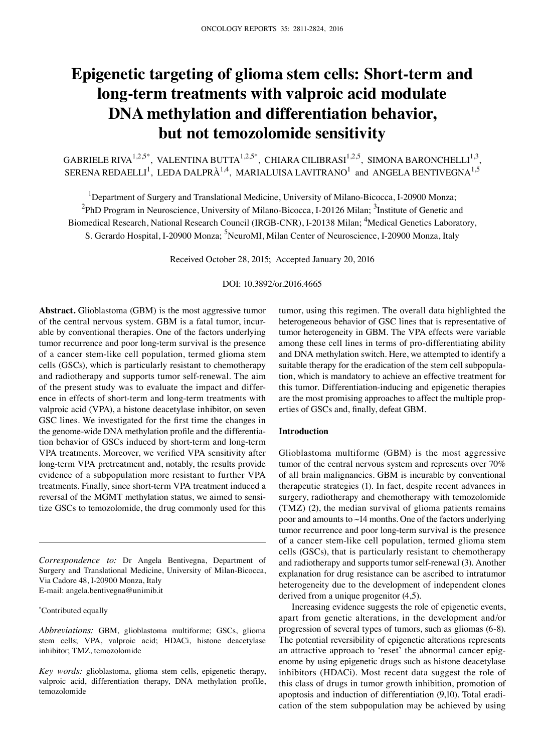# **Epigenetic targeting of glioma stem cells: Short-term and long-term treatments with valproic acid modulate DNA methylation and differentiation behavior, but not temozolomide sensitivity**

GABRIELE RIVA $^{1,2,5^\ast}$ , VALENTINA BUTTA $^{1,2,5^\ast}$ , CHIARA CILIBRASI $^{1,2,5}$ , SIMONA BARONCHELLI $^{1,3}$ , SERENA REDAELLI<sup>1</sup>, LEDA DALPRÀ<sup>1,4</sup>, MARIALUISA LAVITRANO<sup>1</sup> and ANGELA BENTIVEGNA<sup>1,5</sup>

<sup>1</sup>Department of Surgery and Translational Medicine, University of Milano-Bicocca, I-20900 Monza; <sup>2</sup>PhD Program in Neuroscience, University of Milano-Bicocca, I-20126 Milan; <sup>3</sup>Institute of Genetic and Biomedical Research, National Research Council (IRGB-CNR), I-20138 Milan; <sup>4</sup>Medical Genetics Laboratory, S. Gerardo Hospital, I-20900 Monza; <sup>5</sup>NeuroMI, Milan Center of Neuroscience, I-20900 Monza, Italy

Received October 28, 2015; Accepted January 20, 2016

DOI: 10.3892/or.2016.4665

**Abstract.** Glioblastoma (GBM) is the most aggressive tumor of the central nervous system. GBM is a fatal tumor, incurable by conventional therapies. One of the factors underlying tumor recurrence and poor long-term survival is the presence of a cancer stem-like cell population, termed glioma stem cells (GSCs), which is particularly resistant to chemotherapy and radiotherapy and supports tumor self-renewal. The aim of the present study was to evaluate the impact and difference in effects of short-term and long-term treatments with valproic acid (VPA), a histone deacetylase inhibitor, on seven GSC lines. We investigated for the first time the changes in the genome-wide DNA methylation profile and the differentiation behavior of GSCs induced by short-term and long-term VPA treatments. Moreover, we verified VPA sensitivity after long-term VPA pretreatment and, notably, the results provide evidence of a subpopulation more resistant to further VPA treatments. Finally, since short-term VPA treatment induced a reversal of the MGMT methylation status, we aimed to sensitize GSCs to temozolomide, the drug commonly used for this

*Correspondence to:* Dr Angela Bentivegna, Department of Surgery and Translational Medicine, University of Milan-Bicocca, Via Cadore 48, I-20900 Monza, Italy E-mail: angela.bentivegna@unimib.it

\* Contributed equally

*Abbreviations:* GBM, glioblastoma multiforme; GSCs, glioma stem cells; VPA, valproic acid; HDACi, histone deacetylase inhibitor; TMZ, temozolomide

*Key words:* glioblastoma, glioma stem cells, epigenetic therapy, valproic acid, differentiation therapy, DNA methylation profile, temozolomide

tumor, using this regimen. The overall data highlighted the heterogeneous behavior of GSC lines that is representative of tumor heterogeneity in GBM. The VPA effects were variable among these cell lines in terms of pro-differentiating ability and DNA methylation switch. Here, we attempted to identify a suitable therapy for the eradication of the stem cell subpopulation, which is mandatory to achieve an effective treatment for this tumor. Differentiation-inducing and epigenetic therapies are the most promising approaches to affect the multiple properties of GSCs and, finally, defeat GBM.

## **Introduction**

Glioblastoma multiforme (GBM) is the most aggressive tumor of the central nervous system and represents over 70% of all brain malignancies. GBM is incurable by conventional therapeutic strategies (1). In fact, despite recent advances in surgery, radiotherapy and chemotherapy with temozolomide (TMZ) (2), the median survival of glioma patients remains poor and amounts to ~14 months. One of the factors underlying tumor recurrence and poor long-term survival is the presence of a cancer stem-like cell population, termed glioma stem cells (GSCs), that is particularly resistant to chemotherapy and radiotherapy and supports tumor self-renewal (3). Another explanation for drug resistance can be ascribed to intratumor heterogeneity due to the development of independent clones derived from a unique progenitor (4,5).

Increasing evidence suggests the role of epigenetic events, apart from genetic alterations, in the development and/or progression of several types of tumors, such as gliomas (6-8). The potential reversibility of epigenetic alterations represents an attractive approach to 'reset' the abnormal cancer epigenome by using epigenetic drugs such as histone deacetylase inhibitors (HDACi). Most recent data suggest the role of this class of drugs in tumor growth inhibition, promotion of apoptosis and induction of differentiation (9,10). Total eradication of the stem subpopulation may be achieved by using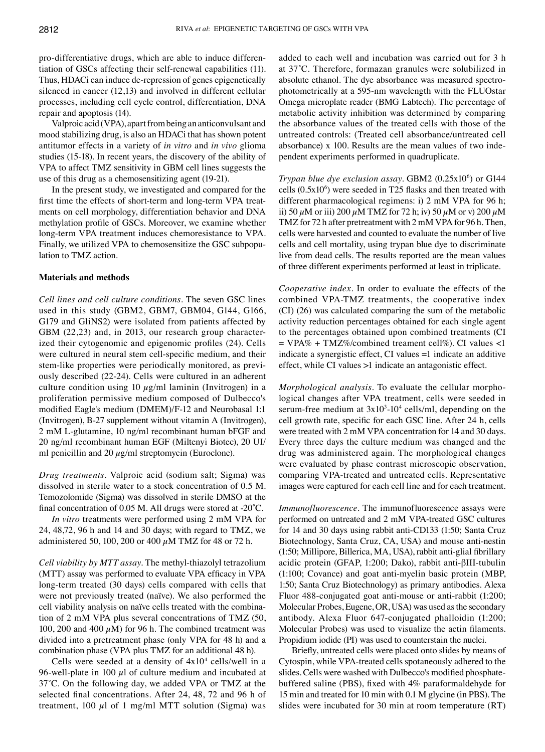pro-differentiative drugs, which are able to induce differentiation of GSCs affecting their self-renewal capabilities (11). Thus, HDACi can induce de-repression of genes epigenetically silenced in cancer (12,13) and involved in different cellular processes, including cell cycle control, differentiation, DNA repair and apoptosis (14).

Valproic acid (VPA), apart from being an anticonvulsant and mood stabilizing drug, is also an HDACi that has shown potent antitumor effects in a variety of *in vitro* and *in vivo* glioma studies (15-18). In recent years, the discovery of the ability of VPA to affect TMZ sensitivity in GBM cell lines suggests the use of this drug as a chemosensitizing agent (19-21).

In the present study, we investigated and compared for the first time the effects of short-term and long-term VPA treatments on cell morphology, differentiation behavior and DNA methylation profile of GSCs. Moreover, we examine whether long-term VPA treatment induces chemoresistance to VPA. Finally, we utilized VPA to chemosensitize the GSC subpopulation to TMZ action.

### **Materials and methods**

*Cell lines and cell culture conditions.* The seven GSC lines used in this study (GBM2, GBM7, GBM04, G144, G166, G179 and GliNS2) were isolated from patients affected by GBM (22,23) and, in 2013, our research group characterized their cytogenomic and epigenomic profiles (24). Cells were cultured in neural stem cell-specific medium, and their stem-like properties were periodically monitored, as previously described (22-24). Cells were cultured in an adherent culture condition using 10  $\mu$ g/ml laminin (Invitrogen) in a proliferation permissive medium composed of Dulbecco's modified Eagle's medium (DMEM)/F-12 and Neurobasal 1:1 (Invitrogen), B-27 supplement without vitamin A (Invitrogen), 2 mM L-glutamine, 10 ng/ml recombinant human bFGF and 20 ng/ml recombinant human EGF (Miltenyi Biotec), 20 UI/ ml penicillin and 20  $\mu$ g/ml streptomycin (Euroclone).

*Drug treatments.* Valproic acid (sodium salt; Sigma) was dissolved in sterile water to a stock concentration of 0.5 M. Temozolomide (Sigma) was dissolved in sterile DMSO at the final concentration of 0.05 M. All drugs were stored at -20˚C.

*In vitro* treatments were performed using 2 mM VPA for 24, 48,72, 96 h and 14 and 30 days; with regard to TMZ, we administered 50, 100, 200 or 400  $\mu$ M TMZ for 48 or 72 h.

*Cell viability by MTT assay.* The methyl-thiazolyl tetrazolium (MTT) assay was performed to evaluate VPA efficacy in VPA long-term treated (30 days) cells compared with cells that were not previously treated (naïve). We also performed the cell viability analysis on naïve cells treated with the combination of 2 mM VPA plus several concentrations of TMZ (50, 100, 200 and 400  $\mu$ M) for 96 h. The combined treatment was divided into a pretreatment phase (only VPA for 48 h) and a combination phase (VPA plus TMZ for an additional 48 h).

Cells were seeded at a density of  $4x10<sup>4</sup>$  cells/well in a 96-well-plate in 100  $\mu$ l of culture medium and incubated at 37˚C. On the following day, we added VPA or TMZ at the selected final concentrations. After 24, 48, 72 and 96 h of treatment, 100  $\mu$ l of 1 mg/ml MTT solution (Sigma) was added to each well and incubation was carried out for 3 h at 37˚C. Therefore, formazan granules were solubilized in absolute ethanol. The dye absorbance was measured spectrophotometrically at a 595-nm wavelength with the FLUOstar Omega microplate reader (BMG Labtech). The percentage of metabolic activity inhibition was determined by comparing the absorbance values of the treated cells with those of the untreated controls: (Treated cell absorbance/untreated cell absorbance) x 100. Results are the mean values of two independent experiments performed in quadruplicate.

*Trypan blue dye exclusion assay.* GBM2 (0.25x10<sup>6</sup>) or G144 cells  $(0.5x10<sup>6</sup>)$  were seeded in T25 flasks and then treated with different pharmacological regimens: i) 2 mM VPA for 96 h; ii) 50  $\mu$ M or iii) 200  $\mu$ M TMZ for 72 h; iv) 50  $\mu$ M or v) 200  $\mu$ M TMZ for 72 h after pretreatment with 2 mM VPA for 96 h. Then, cells were harvested and counted to evaluate the number of live cells and cell mortality, using trypan blue dye to discriminate live from dead cells. The results reported are the mean values of three different experiments performed at least in triplicate.

*Cooperative index.* In order to evaluate the effects of the combined VPA-TMZ treatments, the cooperative index (CI) (26) was calculated comparing the sum of the metabolic activity reduction percentages obtained for each single agent to the percentages obtained upon combined treatments (CI  $= VPA\% + TMZ\%$ /combined treament cell%). CI values <1 indicate a synergistic effect, CI values =1 indicate an additive effect, while CI values >1 indicate an antagonistic effect.

*Morphological analysis.* To evaluate the cellular morphological changes after VPA treatment, cells were seeded in serum-free medium at  $3x10^3$ -10<sup>4</sup> cells/ml, depending on the cell growth rate, specific for each GSC line. After 24 h, cells were treated with 2 mM VPA concentration for 14 and 30 days. Every three days the culture medium was changed and the drug was administered again. The morphological changes were evaluated by phase contrast microscopic observation, comparing VPA-treated and untreated cells. Representative images were captured for each cell line and for each treatment.

*Immunofluorescence.* The immunofluorescence assays were performed on untreated and 2 mM VPA-treated GSC cultures for 14 and 30 days using rabbit anti-CD133 (1:50; Santa Cruz Biotechnology, Santa Cruz, CA, USA) and mouse anti-nestin (1:50; Millipore, Billerica, MA, USA), rabbit anti‑glial fibrillary acidic protein (GFAP, 1:200; Dako), rabbit anti-βIII-tubulin (1:100; Covance) and goat anti-myelin basic protein (MBP, 1:50; Santa Cruz Biotechnology) as primary antibodies. Alexa Fluor 488-conjugated goat anti-mouse or anti-rabbit (1:200; Molecular Probes, Eugene, OR, USA) was used as the secondary antibody. Alexa Fluor 647-conjugated phalloidin (1:200; Molecular Probes) was used to visualize the actin filaments. Propidium iodide (PI) was used to counterstain the nuclei.

Briefly, untreated cells were placed onto slides by means of Cytospin, while VPA-treated cells spotaneously adhered to the slides. Cells were washed with Dulbecco's modified phosphatebuffered saline (PBS), fixed with 4% paraformaldehyde for 15 min and treated for 10 min with 0.1 M glycine (in PBS). The slides were incubated for 30 min at room temperature (RT)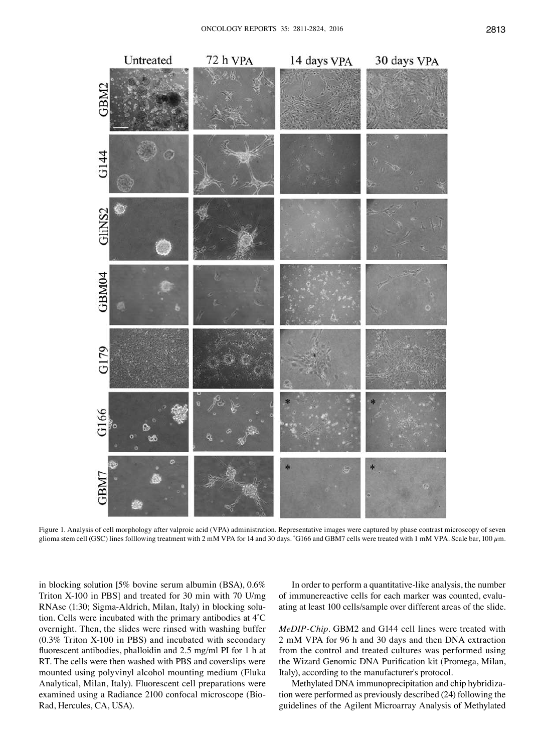

Figure 1. Analysis of cell morphology after valproic acid (VPA) administration. Representative images were captured by phase contrast microscopy of seven glioma stem cell (GSC) lines folllowing treatment with 2 mM VPA for 14 and 30 days. \* G166 and GBM7 cells were treated with 1 mM VPA. Scale bar, 100 µm.

in blocking solution [5% bovine serum albumin (BSA), 0.6% Triton X-100 in PBS] and treated for 30 min with 70 U/mg RNAse (1:30; Sigma-Aldrich, Milan, Italy) in blocking solution. Cells were incubated with the primary antibodies at 4˚C overnight. Then, the slides were rinsed with washing buffer (0.3% Triton X-100 in PBS) and incubated with secondary fluorescent antibodies, phalloidin and 2.5 mg/ml PI for 1 h at RT. The cells were then washed with PBS and coverslips were mounted using polyvinyl alcohol mounting medium (Fluka Analytical, Milan, Italy). Fluorescent cell preparations were examined using a Radiance 2100 confocal microscope (Bio-Rad, Hercules, CA, USA).

In order to perform a quantitative-like analysis, the number of immunereactive cells for each marker was counted, evaluating at least 100 cells/sample over different areas of the slide.

*MeDIP-Chip.* GBM2 and G144 cell lines were treated with 2 mM VPA for 96 h and 30 days and then DNA extraction from the control and treated cultures was performed using the Wizard Genomic DNA Purification kit (Promega, Milan, Italy), according to the manufacturer's protocol.

Methylated DNA immunoprecipitation and chip hybridization were performed as previously described (24) following the guidelines of the Agilent Microarray Analysis of Methylated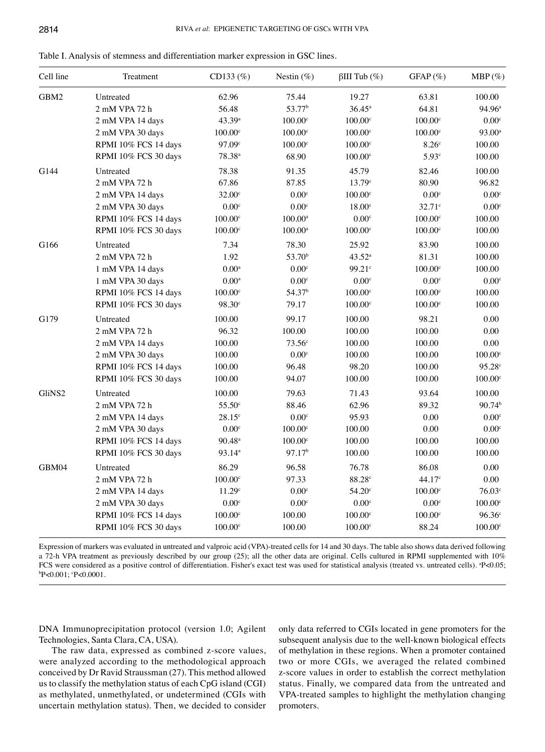| Table I. Analysis of stemness and differentiation marker expression in GSC lines. |  |  |  |  |  |
|-----------------------------------------------------------------------------------|--|--|--|--|--|
|-----------------------------------------------------------------------------------|--|--|--|--|--|

| Cell line | Treatment            | CD133 (%)            | Nestin $(\%)$       | $\beta$ III Tub (%)   | GFAP(%)               | $MBP(\%)$             |
|-----------|----------------------|----------------------|---------------------|-----------------------|-----------------------|-----------------------|
| GBM2      | Untreated            | 62.96                | 75.44               | 19.27                 | 63.81                 | 100.00                |
|           | 2 mM VPA 72 h        | 56.48                | 53.77 <sup>b</sup>  | $36.45^{\rm a}$       | 64.81                 | 94.96 <sup>a</sup>    |
|           | 2 mM VPA 14 days     | 43.39 <sup>a</sup>   | 100.00c             | $100.00^{\circ}$      | $100.00$ <sup>c</sup> | $0.00^{\circ}$        |
|           | 2 mM VPA 30 days     | 100.00 <sup>c</sup>  | $100.00^{\circ}$    | $100.00^{\circ}$      | $100.00^{\circ}$      | $93.00^a$             |
|           | RPMI 10% FCS 14 days | 97.09°               | $100.00^{\circ}$    | $100.00$ <sup>c</sup> | 8.26 <sup>c</sup>     | 100.00                |
|           | RPMI 10% FCS 30 days | $78.38^{a}$          | 68.90               | 100.00c               | 5.93 <sup>c</sup>     | 100.00                |
| G144      | Untreated            | 78.38                | 91.35               | 45.79                 | 82.46                 | 100.00                |
|           | 2 mM VPA 72 h        | 67.86                | 87.85               | $13.79^{\circ}$       | 80.90                 | 96.82                 |
|           | 2 mM VPA 14 days     | $32.00^{\circ}$      | 0.00 <sup>c</sup>   | $100.00$ <sup>c</sup> | 0.00c                 | $0.00^{\circ}$        |
|           | 2 mM VPA 30 days     | 0.00c                | $0.00^{\circ}$      | $18.00^{\circ}$       | $32.71$ c             | $0.00^{\circ}$        |
|           | RPMI 10% FCS 14 days | $100.00^{\circ}$     | $100.00^{\rm a}$    | 0.00 <sup>c</sup>     | 100.00c               | 100.00                |
|           | RPMI 10% FCS 30 days | 100.00 <sup>c</sup>  | $100.00^{\text{a}}$ | $100.00^{\circ}$      | $100.00^{\circ}$      | 100.00                |
| G166      | Untreated            | 7.34                 | 78.30               | 25.92                 | 83.90                 | 100.00                |
|           | 2 mM VPA 72 h        | 1.92                 | 53.70 <sup>b</sup>  | $43.52^a$             | 81.31                 | 100.00                |
|           | 1 mM VPA 14 days     | $0.00^{\rm a}$       | 0.00 <sup>c</sup>   | 99.21 <sup>c</sup>    | 100.00c               | 100.00                |
|           | 1 mM VPA 30 days     | $0.00^{\rm a}$       | 0.00 <sup>c</sup>   | 0.00 <sup>c</sup>     | 0.00 <sup>c</sup>     | 0.00 <sup>c</sup>     |
|           | RPMI 10% FCS 14 days | $100.00^{\circ}$     | 54.37 <sup>b</sup>  | $100.00$ <sup>c</sup> | 100.00c               | 100.00                |
|           | RPMI 10% FCS 30 days | $98.30^{\circ}$      | 79.17               | 100.00 <sup>c</sup>   | $100.00^{\circ}$      | 100.00                |
| G179      | Untreated            | 100.00               | 99.17               | 100.00                | 98.21                 | 0.00                  |
|           | 2 mM VPA 72 h        | 96.32                | 100.00              | 100.00                | 100.00                | 0.00                  |
|           | 2 mM VPA 14 days     | 100.00               | $73.56^{\circ}$     | 100.00                | 100.00                | 0.00                  |
|           | 2 mM VPA 30 days     | 100.00               | 0.00 <sup>c</sup>   | 100.00                | 100.00                | 100.00c               |
|           | RPMI 10% FCS 14 days | 100.00               | 96.48               | 98.20                 | 100.00                | 95.28 <sup>c</sup>    |
|           | RPMI 10% FCS 30 days | 100.00               | 94.07               | 100.00                | 100.00                | 100.00c               |
| GliNS2    | Untreated            | 100.00               | 79.63               | 71.43                 | 93.64                 | 100.00                |
|           | 2 mM VPA 72 h        | $55.50$ <sup>c</sup> | 88.46               | 62.96                 | 89.32                 | $90.74^{b}$           |
|           | 2 mM VPA 14 days     | $28.15^{\circ}$      | 0.00 <sup>c</sup>   | 95.93                 | $0.00\,$              | 0.00 <sup>c</sup>     |
|           | 2 mM VPA 30 days     | $0.00^{\circ}$       | $100.00^{\circ}$    | 100.00                | 0.00                  | $0.00^{\circ}$        |
|           | RPMI 10% FCS 14 days | $90.48^{\text{a}}$   | 100.00 <sup>c</sup> | 100.00                | 100.00                | 100.00                |
|           | RPMI 10% FCS 30 days | 93.14 <sup>a</sup>   | 97.17 <sup>b</sup>  | 100.00                | 100.00                | 100.00                |
| GBM04     | Untreated            | 86.29                | 96.58               | 76.78                 | 86.08                 | 0.00                  |
|           | 2 mM VPA 72 h        | 100.00c              | 97.33               | 88.28 <sup>c</sup>    | 44.17c                | $0.00\,$              |
|           | 2 mM VPA 14 days     | 11.29 <sup>c</sup>   | $0.00^{\circ}$      | $54.20^\circ$         | $100.00^{\circ}$      | 76.03c                |
|           | 2 mM VPA 30 days     | $0.00^{\circ}$       | 0.00 <sup>c</sup>   | 0.00 <sup>c</sup>     | 0.00c                 | 100.00c               |
|           | RPMI 10% FCS 14 days | $100.00^{\circ}$     | 100.00              | $100.00$ <sup>c</sup> | $100.00$ <sup>c</sup> | $96.36^{\circ}$       |
|           | RPMI 10% FCS 30 days | $100.00^{\circ}$     | 100.00              | $100.00$ <sup>c</sup> | 88.24                 | $100.00$ <sup>c</sup> |

Expression of markers was evaluated in untreated and valproic acid (VPA)-treated cells for 14 and 30 days. The table also shows data derived following a 72-h VPA treatment as previously described by our group (25); all the other data are original. Cells cultured in RPMI supplemented with 10% FCS were considered as a positive control of differentiation. Fisher's exact test was used for statistical analysis (treated vs. untreated cells). <sup>a</sup>P<0.05;<br><sup>b</sup>P<0.001: ·P<0.0001 P<0.001; °P<0.0001.

DNA Immunoprecipitation protocol (version 1.0; Agilent Technologies, Santa Clara, CA, USA).

The raw data, expressed as combined z-score values, were analyzed according to the methodological approach conceived by Dr Ravid Straussman (27). This method allowed us to classify the methylation status of each CpG island (CGI) as methylated, unmethylated, or undetermined (CGIs with uncertain methylation status). Then, we decided to consider only data referred to CGIs located in gene promoters for the subsequent analysis due to the well-known biological effects of methylation in these regions. When a promoter contained two or more CGIs, we averaged the related combined z-score values in order to establish the correct methylation status. Finally, we compared data from the untreated and VPA-treated samples to highlight the methylation changing promoters.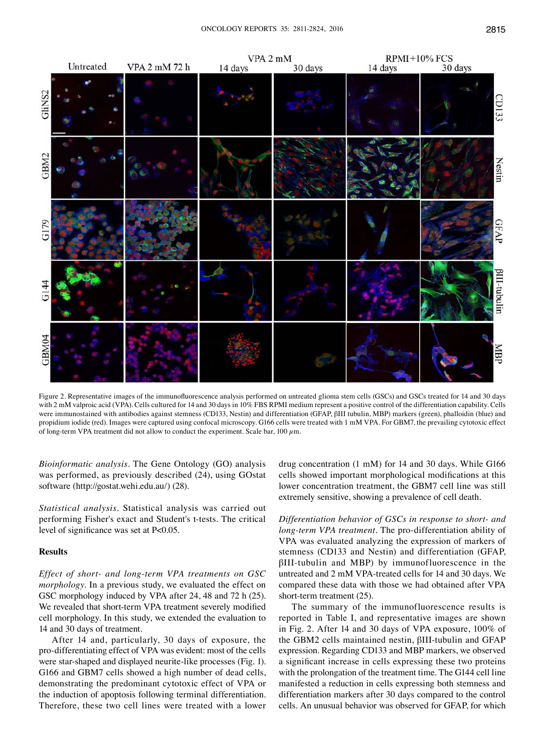

Figure 2. Representative images of the immunofluorescence analysis performed on untreated glioma stem cells (GSCs) and GSCs treated for 14 and 30 days with 2 mM valproic acid (VPA). Cells cultured for 14 and 30 days in 10% FBS RPMI medium represent a positive control of the differentiation capability. Cells were immunostained with antibodies against stemness (CD133, Nestin) and differentiation (GFAP, βIII tubulin, MBP) markers (green), phalloidin (blue) and propidium iodide (red). Images were captured using confocal microscopy. G166 cells were treated with 1 mM VPA. For GBM7, the prevailing cytotoxic effect of long-term VPA treatment did not allow to conduct the experiment. Scale bar, 100  $\mu$ m.

*Bioinformatic analysis.* The Gene Ontology (GO) analysis was performed, as previously described (24), using GOstat software (http://gostat.wehi.edu.au/) (28).

*Statistical analysis.* Statistical analysis was carried out performing Fisher's exact and Student's t-tests. The critical level of significance was set at P<0.05.

## **Results**

*Effect of short- and long-term VPA treatments on GSC morphology.* In a previous study, we evaluated the effect on GSC morphology induced by VPA after 24, 48 and 72 h (25). We revealed that short-term VPA treatment severely modified cell morphology. In this study, we extended the evaluation to 14 and 30 days of treatment.

After 14 and, particularly, 30 days of exposure, the pro-differentiating effect of VPA was evident: most of the cells were star-shaped and displayed neurite-like processes (Fig. 1). G166 and GBM7 cells showed a high number of dead cells, demonstrating the predominant cytotoxic effect of VPA or the induction of apoptosis following terminal differentiation. Therefore, these two cell lines were treated with a lower drug concentration (1 mM) for 14 and 30 days. While G166 cells showed important morphological modifications at this lower concentration treatment, the GBM7 cell line was still extremely sensitive, showing a prevalence of cell death.

*Differentiation behavior of GSCs in response to short- and long-term VPA treatment.* The pro-differentiation ability of VPA was evaluated analyzing the expression of markers of stemness (CD133 and Nestin) and differentiation (GFAP, βIII-tubulin and MBP) by immunofluorescence in the untreated and 2 mM VPA-treated cells for 14 and 30 days. We compared these data with those we had obtained after VPA short-term treatment (25).

The summary of the immunofluorescence results is reported in Table I, and representative images are shown in Fig. 2. After 14 and 30 days of VPA exposure, 100% of the GBM2 cells maintained nestin, βIII-tubulin and GFAP expression. Regarding CD133 and MBP markers, we observed a significant increase in cells expressing these two proteins with the prolongation of the treatment time. The G144 cell line manifested a reduction in cells expressing both stemness and differentiation markers after 30 days compared to the control cells. An unusual behavior was observed for GFAP, for which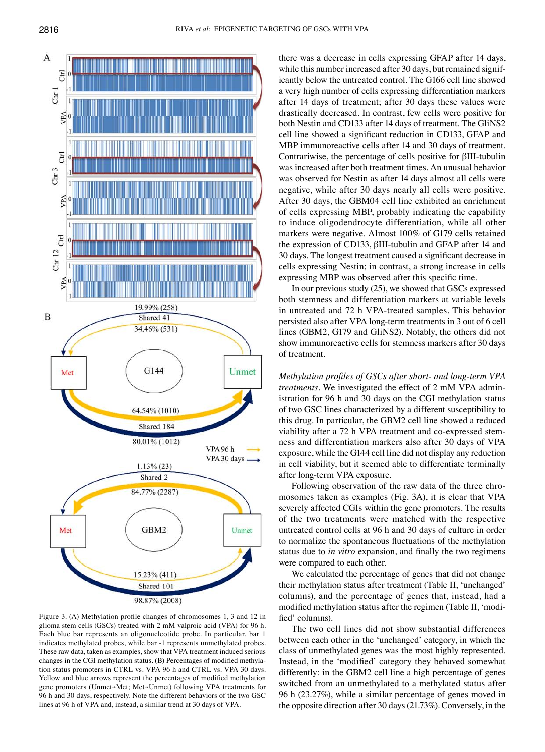

98.87% (2008)

Figure 3. (A) Methylation profile changes of chromosomes 1, 3 and 12 in glioma stem cells (GSCs) treated with 2 mM valproic acid (VPA) for 96 h. Each blue bar represents an oligonucleotide probe. In particular, bar 1 indicates methylated probes, while bar -1 represents unmethylated probes. These raw data, taken as examples, show that VPA treatment induced serious changes in the CGI methylation status. (B) Percentages of modified methylation status promoters in CTRL vs. VPA 96 h and CTRL vs. VPA 30 days. Yellow and blue arrows represent the percentages of modified methylation gene promoters (Unmet→Met; Met→Unmet) following VPA treatments for 96 h and 30 days, respectively. Note the different behaviors of the two GSC lines at 96 h of VPA and, instead, a similar trend at 30 days of VPA.

there was a decrease in cells expressing GFAP after 14 days, while this number increased after 30 days, but remained significantly below the untreated control. The G166 cell line showed a very high number of cells expressing differentiation markers after 14 days of treatment; after 30 days these values were drastically decreased. In contrast, few cells were positive for both Nestin and CD133 after 14 days of treatment. The GliNS2 cell line showed a significant reduction in CD133, GFAP and MBP immunoreactive cells after 14 and 30 days of treatment. Contrariwise, the percentage of cells positive for βIII-tubulin was increased after both treatment times. An unusual behavior was observed for Nestin as after 14 days almost all cells were negative, while after 30 days nearly all cells were positive. After 30 days, the GBM04 cell line exhibited an enrichment of cells expressing MBP, probably indicating the capability to induce oligodendrocyte differentiation, while all other markers were negative. Almost 100% of G179 cells retained the expression of CD133, βIII-tubulin and GFAP after 14 and 30 days. The longest treatment caused a significant decrease in cells expressing Nestin; in contrast, a strong increase in cells expressing MBP was observed after this specific time.

In our previous study (25), we showed that GSCs expressed both stemness and differentiation markers at variable levels in untreated and 72 h VPA-treated samples. This behavior persisted also after VPA long-term treatments in 3 out of 6 cell lines (GBM2, G179 and GliNS2). Notably, the others did not show immunoreactive cells for stemness markers after 30 days of treatment.

*Methylation profiles of GSCs after short- and long-term VPA treatments.* We investigated the effect of 2 mM VPA administration for 96 h and 30 days on the CGI methylation status of two GSC lines characterized by a different susceptibility to this drug. In particular, the GBM2 cell line showed a reduced viability after a 72 h VPA treatment and co-expressed stemness and differentiation markers also after 30 days of VPA exposure, while the G144 cell line did not display any reduction in cell viability, but it seemed able to differentiate terminally after long-term VPA exposure.

Following observation of the raw data of the three chromosomes taken as examples (Fig. 3A), it is clear that VPA severely affected CGIs within the gene promoters. The results of the two treatments were matched with the respective untreated control cells at 96 h and 30 days of culture in order to normalize the spontaneous fluctuations of the methylation status due to *in vitro* expansion, and finally the two regimens were compared to each other.

We calculated the percentage of genes that did not change their methylation status after treatment (Table II, 'unchanged' columns), and the percentage of genes that, instead, had a modified methylation status after the regimen (Table II, 'modified' columns).

The two cell lines did not show substantial differences between each other in the 'unchanged' category, in which the class of unmethylated genes was the most highly represented. Instead, in the 'modified' category they behaved somewhat differently: in the GBM2 cell line a high percentage of genes switched from an unmethylated to a methylated status after 96 h (23.27%), while a similar percentage of genes moved in the opposite direction after 30 days (21.73%). Conversely, in the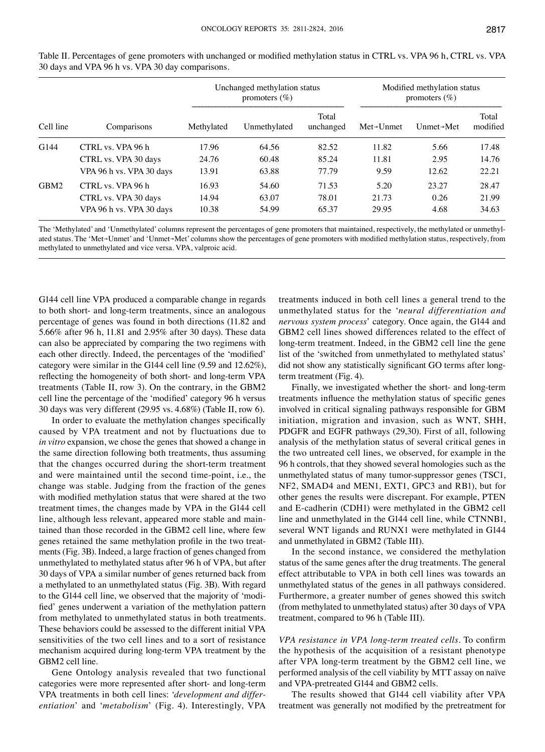| Cell line |                          | Unchanged methylation status<br>promoters $(\% )$ |              |                    | Modified methylation status<br>promoters $(\% )$ |                         |                   |
|-----------|--------------------------|---------------------------------------------------|--------------|--------------------|--------------------------------------------------|-------------------------|-------------------|
|           | Comparisons              | Methylated                                        | Unmethylated | Total<br>unchanged | $Met \rightarrow U$ nmet                         | Unmet $\rightarrow$ Met | Total<br>modified |
| G144      | CTRL vs. VPA 96 h        | 17.96                                             | 64.56        | 82.52              | 11.82                                            | 5.66                    | 17.48             |
|           | CTRL vs. VPA 30 days     | 24.76                                             | 60.48        | 85.24              | 11.81                                            | 2.95                    | 14.76             |
|           | VPA 96 h vs. VPA 30 days | 13.91                                             | 63.88        | 77.79              | 9.59                                             | 12.62                   | 22.21             |
| GBM2      | CTRL vs. VPA 96 h        | 16.93                                             | 54.60        | 71.53              | 5.20                                             | 23.27                   | 28.47             |
|           | CTRL vs. VPA 30 days     | 14.94                                             | 63.07        | 78.01              | 21.73                                            | 0.26                    | 21.99             |
|           | VPA 96 h vs. VPA 30 days | 10.38                                             | 54.99        | 65.37              | 29.95                                            | 4.68                    | 34.63             |

Table II. Percentages of gene promoters with unchanged or modified methylation status in CTRL vs. VPA 96 h, CTRL vs. VPA 30 days and VPA 96 h vs. VPA 30 day comparisons.

The 'Methylated' and 'Unmethylated' columns represent the percentages of gene promoters that maintained, respectively, the methylated or unmethylated status. The 'Met→Unmet' and 'Unmet→Met' columns show the percentages of gene promoters with modified methylation status, respectively, from methylated to unmethylated and vice versa. VPA, valproic acid.

G144 cell line VPA produced a comparable change in regards to both short- and long-term treatments, since an analogous percentage of genes was found in both directions (11.82 and 5.66% after 96 h, 11.81 and 2.95% after 30 days). These data can also be appreciated by comparing the two regimens with each other directly. Indeed, the percentages of the 'modified' category were similar in the G144 cell line (9.59 and 12.62%), reflecting the homogeneity of both short- and long-term VPA treatments (Table II, row 3). On the contrary, in the GBM2 cell line the percentage of the 'modified' category 96 h versus 30 days was very different (29.95 vs. 4.68%) (Table II, row 6).

In order to evaluate the methylation changes specifically caused by VPA treatment and not by fluctuations due to *in vitro* expansion, we chose the genes that showed a change in the same direction following both treatments, thus assuming that the changes occurred during the short-term treatment and were maintained until the second time-point, i.e., the change was stable. Judging from the fraction of the genes with modified methylation status that were shared at the two treatment times, the changes made by VPA in the G144 cell line, although less relevant, appeared more stable and maintained than those recorded in the GBM2 cell line, where few genes retained the same methylation profile in the two treatments (Fig. 3B). Indeed, a large fraction of genes changed from unmethylated to methylated status after 96 h of VPA, but after 30 days of VPA a similar number of genes returned back from a methylated to an unmethylated status (Fig. 3B). With regard to the G144 cell line, we observed that the majority of 'modified' genes underwent a variation of the methylation pattern from methylated to unmethylated status in both treatments. These behaviors could be assessed to the different initial VPA sensitivities of the two cell lines and to a sort of resistance mechanism acquired during long-term VPA treatment by the GBM2 cell line.

Gene Ontology analysis revealed that two functional categories were more represented after short- and long-term VPA treatments in both cell lines: '*development and differentiation*' and '*metabolism*' (Fig. 4). Interestingly, VPA treatments induced in both cell lines a general trend to the unmethylated status for the '*neural differentiation and nervous system process*' category. Once again, the G144 and GBM2 cell lines showed differences related to the effect of long-term treatment. Indeed, in the GBM2 cell line the gene list of the 'switched from unmethylated to methylated status' did not show any statistically significant GO terms after longterm treatment (Fig. 4).

Finally, we investigated whether the short- and long-term treatments influence the methylation status of specific genes involved in critical signaling pathways responsible for GBM initiation, migration and invasion, such as WNT, SHH, PDGFR and EGFR pathways (29,30). First of all, following analysis of the methylation status of several critical genes in the two untreated cell lines, we observed, for example in the 96 h controls, that they showed several homologies such as the unmethylated status of many tumor-suppressor genes (TSC1, NF2, SMAD4 and MEN1, EXT1, GPC3 and RB1), but for other genes the results were discrepant. For example, PTEN and E-cadherin (CDH1) were methylated in the GBM2 cell line and unmethylated in the G144 cell line, while CTNNB1, several WNT ligands and RUNX1 were methylated in G144 and unmethylated in GBM2 (Table III).

In the second instance, we considered the methylation status of the same genes after the drug treatments. The general effect attributable to VPA in both cell lines was towards an unmethylated status of the genes in all pathways considered. Furthermore, a greater number of genes showed this switch (from methylated to unmethylated status) after 30 days of VPA treatment, compared to 96 h (Table III).

*VPA resistance in VPA long-term treated cells.* To confirm the hypothesis of the acquisition of a resistant phenotype after VPA long-term treatment by the GBM2 cell line, we performed analysis of the cell viability by MTT assay on naïve and VPA-pretreated G144 and GBM2 cells.

The results showed that G144 cell viability after VPA treatment was generally not modified by the pretreatment for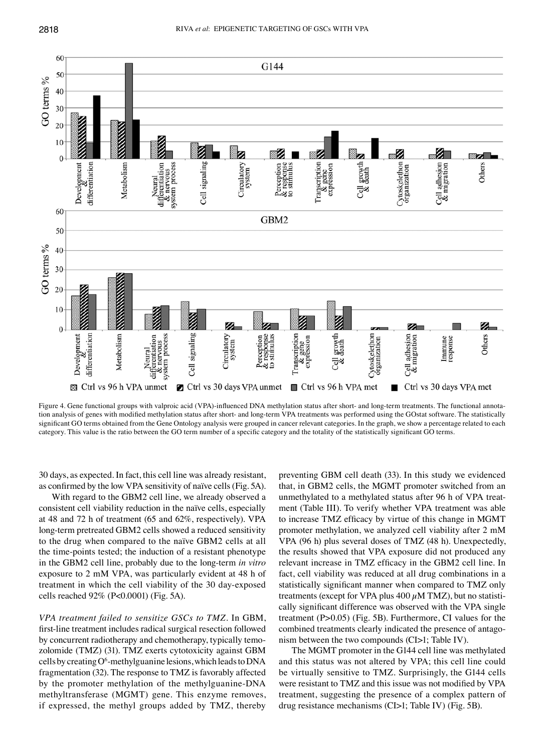

Figure 4. Gene functional groups with valproic acid (VPA)-influenced DNA methylation status after short- and long-term treatments. The functional annotation analysis of genes with modified methylation status after short- and long-term VPA treatments was performed using the GOstat software. The statistically significant GO terms obtained from the Gene Ontology analysis were grouped in cancer relevant categories. In the graph, we show a percentage related to each category. This value is the ratio between the GO term number of a specific category and the totality of the statistically significant GO terms.

30 days, as expected. In fact, this cell line was already resistant, as confirmed by the low VPA sensitivity of naïve cells(Fig. 5A).

With regard to the GBM2 cell line, we already observed a consistent cell viability reduction in the naïve cells, especially at 48 and 72 h of treatment (65 and 62%, respectively). VPA long-term pretreated GBM2 cells showed a reduced sensitivity to the drug when compared to the naïve GBM2 cells at all the time-points tested; the induction of a resistant phenotype in the GBM2 cell line, probably due to the long-term *in vitro* exposure to 2 mM VPA, was particularly evident at 48 h of treatment in which the cell viability of the 30 day-exposed cells reached 92% (P<0.0001) (Fig. 5A).

*VPA treatment failed to sensitize GSCs to TMZ.* In GBM, first-line treatment includes radical surgical resection followed by concurrent radiotherapy and chemotherapy, typically temozolomide (TMZ) (31). TMZ exerts cytotoxicity against GBM cells by creating O<sup>6</sup>-methylguanine lesions, which leads to DNA fragmentation (32). The response to TMZ is favorably affected by the promoter methylation of the methylguanine-DNA methyltransferase (MGMT) gene. This enzyme removes, if expressed, the methyl groups added by TMZ, thereby

preventing GBM cell death (33). In this study we evidenced that, in GBM2 cells, the MGMT promoter switched from an unmethylated to a methylated status after 96 h of VPA treatment (Table III). To verify whether VPA treatment was able to increase TMZ efficacy by virtue of this change in MGMT promoter methylation, we analyzed cell viability after 2 mM VPA (96 h) plus several doses of TMZ (48 h). Unexpectedly, the results showed that VPA exposure did not produced any relevant increase in TMZ efficacy in the GBM2 cell line. In fact, cell viability was reduced at all drug combinations in a statistically significant manner when compared to TMZ only treatments (except for VPA plus 400  $\mu$ M TMZ), but no statistically significant difference was observed with the VPA single treatment (P>0.05) (Fig. 5B). Furthermore, CI values for the combined treatments clearly indicated the presence of antagonism between the two compounds (CI>1; Table IV).

The MGMT promoter in the G144 cell line was methylated and this status was not altered by VPA; this cell line could be virtually sensitive to TMZ. Surprisingly, the G144 cells were resistant to TMZ and this issue was not modified by VPA treatment, suggesting the presence of a complex pattern of drug resistance mechanisms (CI>1; Table IV) (Fig. 5B).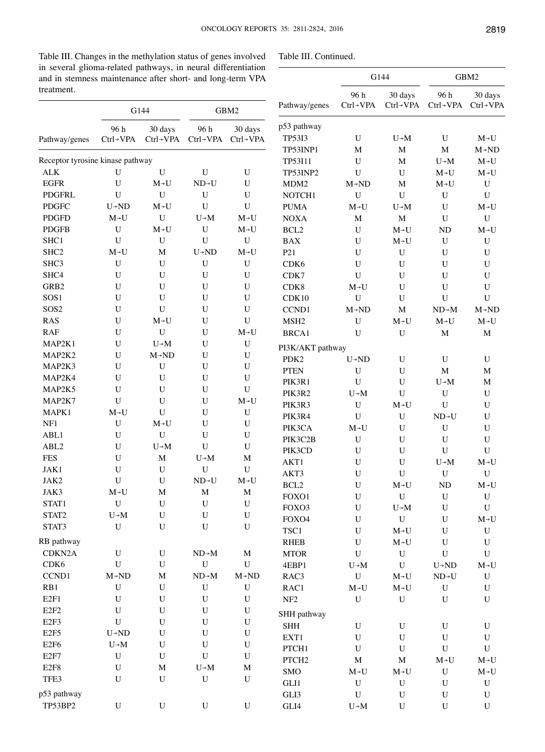Table III. Changes in the methylation status of genes involved in several glioma-related pathways, in neural differentiation<br>and in stemness maintenance after short- and long-term VPA and in stemness maintenance after short- and long-term VPA treatme

| Table III. Continued. |  |
|-----------------------|--|
|-----------------------|--|

| and in stemness maintenance after short- and long-term VPA |                                |                                   |                                |                                   | G144                                     |                                     | GBM2                                                                                         |                                |                                                                   |
|------------------------------------------------------------|--------------------------------|-----------------------------------|--------------------------------|-----------------------------------|------------------------------------------|-------------------------------------|----------------------------------------------------------------------------------------------|--------------------------------|-------------------------------------------------------------------|
| treatment.                                                 |                                | G144                              |                                | GBM2                              | Pathway/genes                            | 96 h<br>$Ctrl \rightarrow VPA$      | 30 days<br>$Ctrl \rightarrow VPA$                                                            | 96 h<br>$Ctrl \rightarrow VPA$ | 30 days<br>Ctrl-VPA                                               |
| Pathway/genes                                              | 96 h<br>$Ctrl \rightarrow VPA$ | 30 days<br>$Ctrl \rightarrow VPA$ | 96 h<br>$Ctrl \rightarrow VPA$ | 30 days<br>$Ctrl \rightarrow VPA$ | p53 pathway<br><b>TP53I3</b><br>TP53INP1 | U<br>M                              | $U \rightarrow M$<br>M                                                                       | U<br>$\mathbf M$               | $M \rightarrow U$<br>$M \rightarrow ND$                           |
| Receptor tyrosine kinase pathway                           |                                |                                   |                                |                                   | TP53I11                                  | U                                   | M                                                                                            | $U \rightarrow M$              |                                                                   |
| $\mbox{ALK}$                                               | U                              | U                                 | ${\bf U}$                      | $\mathbf U$                       | TP53INP2                                 | U                                   | U                                                                                            | $M\neg U$                      | $M\neg U$                                                         |
| <b>EGFR</b>                                                | U                              | $M\nightharpoonup U$              | $ND \rightarrow U$             | U                                 | MDM <sub>2</sub>                         | $M \rightarrow ND$                  | M                                                                                            | $M\neg U$                      | $\mathbf U$                                                       |
| <b>PDGFRL</b>                                              | U                              | $\mathbf U$                       | U                              | U                                 | NOTCH1                                   | U                                   | $\mathbf U$                                                                                  | U                              | $\mathbf U$                                                       |
| <b>PDGFC</b>                                               | $U \rightarrow ND$             |                                   | U                              | U                                 | <b>PUMA</b>                              | $M\neg U$                           | $U\negthinspace\negthinspace\negthinspace M$                                                 | U                              |                                                                   |
| <b>PDGFD</b>                                               | $M\neg U$                      | $\mathbf U$                       | $U \rightarrow M$              | $M\nightharpoonup U$              | <b>NOXA</b>                              | $\mathbf M$                         | M                                                                                            | U                              | ${\bf U}$                                                         |
| <b>PDGFB</b>                                               | U                              | $M\neg U$                         | U                              | $M\neg U$                         | BCL <sub>2</sub>                         | U                                   | $M\neg U$                                                                                    | ND                             | $M\neg U$                                                         |
| SHC1                                                       | U                              | U                                 | $\mathbf U$                    | U                                 | <b>BAX</b>                               | U                                   | $M\neg U$                                                                                    | U                              | $\mathbf U$                                                       |
| SHC <sub>2</sub>                                           | $M\neg U$                      | M                                 | $U \rightarrow ND$             | $M\neg U$                         | P <sub>21</sub>                          | U                                   | ${\bf U}$                                                                                    | U                              | $\mathbf U$                                                       |
| SHC3                                                       | U                              | U                                 | U                              | $\mathbf U$                       | CDK6                                     | U                                   | U                                                                                            | U                              | ${\bf U}$                                                         |
| SHC4                                                       | U                              | $\mathbf U$                       | U                              | U                                 | CDK7                                     | U                                   | U                                                                                            | U                              | ${\bf U}$                                                         |
| GRB2                                                       | U                              | $\mathbf U$                       | U                              | U                                 | CDK8                                     | $M\neg U$                           | U                                                                                            | U                              | ${\bf U}$                                                         |
| SOS1                                                       | U                              | $\mathbf U$                       | U                              | U                                 | CDK10                                    | $\mathbf U$                         | $\mathbf U$                                                                                  | $\mathbf U$                    | $\mathbf U$                                                       |
| SOS <sub>2</sub>                                           | U                              | U                                 | U                              | $\mathbf U$                       | CCND1                                    | $M \rightarrow ND$                  | M                                                                                            | $ND \rightarrow M$             | $M \rightarrow ND$                                                |
| <b>RAS</b>                                                 | U                              | $M\nightharpoonup U$              | U                              | $\mathbf U$                       | MSH <sub>2</sub>                         | U                                   | $M\nightharpoonup U$                                                                         | $M\nightharpoonup U$           | $M \rightarrow U$                                                 |
| <b>RAF</b>                                                 | U                              | $\mathbf U$                       | U                              | $M\nightharpoonup U$              | BRCA1                                    | U                                   | $\mathbf U$                                                                                  | $\mathbf M$                    | $\mathbf M$                                                       |
| MAP2K1                                                     | U                              | $U \rightarrow M$                 | U                              | ${\bf U}$                         | PI3K/AKT pathway                         |                                     |                                                                                              |                                |                                                                   |
| MAP2K2                                                     | U                              | $M \rightarrow ND$                | U                              | $\mathbf U$                       | PDK <sub>2</sub>                         | $U \rightarrow ND$                  | U                                                                                            | U                              | U                                                                 |
| MAP2K3                                                     | U                              | U                                 | U                              | U                                 | <b>PTEN</b>                              | U                                   | U                                                                                            | $\mathbf M$                    | $\mathbf M$                                                       |
| MAP2K4                                                     | U                              | U                                 | U                              | U                                 | PIK3R1                                   | $\mathbf U$                         | $\mathbf U$                                                                                  | $U \rightarrow M$              | $\mathbf M$                                                       |
| MAP2K5                                                     | U                              | U                                 | U                              | $\mathbf U$                       | PIK3R2                                   | $U \rightarrow M$                   | $\mathbf U$                                                                                  | U                              | $\ensuremath{\mathbf{U}}$                                         |
| MAP2K7                                                     | U                              | $\mathbf U$                       | U                              | $M\nightharpoonup U$              | PIK3R3                                   | U                                   | $M\nightharpoonup U$                                                                         | U                              | $\mathbf U$                                                       |
| MAPK1                                                      | $M\nightharpoonup U$           | $\mathbf U$                       | U                              | ${\bf U}$                         | PIK3R4                                   | $\mathbf U$                         | U                                                                                            | $ND - U$                       | ${\bf U}$                                                         |
| NF1                                                        | U                              | $M \rightarrow U$                 | U                              | ${\bf U}$                         | PIK3CA                                   | $M\neg U$                           | U                                                                                            | U                              | ${\bf U}$                                                         |
| ABL1                                                       | U                              | $\mathbf U$                       | U                              | U                                 | PIK3C2B                                  | U                                   | U                                                                                            | $\mathbf U$                    | ${\bf U}$                                                         |
| ABL <sub>2</sub>                                           | U                              | $U\!\!\rightarrow\!\!M$           | U                              | U                                 | PIK3CD                                   | $\mathbf U$                         | $\mathbf U$                                                                                  | $\mathbf U$                    | $\mathbf U$                                                       |
| <b>FES</b>                                                 | U                              | M                                 | $U \rightarrow M$              | M                                 | AKT1                                     | U                                   | $\mathbf U$                                                                                  | $U \rightarrow M$              |                                                                   |
| JAK1                                                       | U                              | $\mathbf U$                       | U                              | U                                 | AKT3                                     | U                                   | $\mathbf U$                                                                                  | $\mathbf U$                    | $\mathbf U$                                                       |
| JAK2                                                       | U                              | U                                 | ND→U                           | $M\nightharpoonup U$              | $\rm BCL2$                               | $\mathbf U$                         | $\ensuremath{\mathsf{M}}\xspace\ensuremath{\mathsf{+}}\xspace\ensuremath{\mathsf{U}}\xspace$ | ND                             | $M\negmedspace\negmedspace\negmedspace\negmedspace\negmedspace U$ |
| JAK3                                                       | $M\nightharpoonup U$           | M                                 | $\mathbf M$                    | $\mathbf M$                       | FOXO1                                    | $\mathbf U$                         | ${\bf U}$                                                                                    | $\mathbf U$                    | $\ensuremath{\mathbf{U}}$                                         |
| STAT1                                                      | ${\bf U}$                      | ${\bf U}$                         | $\mathbf U$                    | ${\bf U}$                         | FOXO3                                    | U                                   | $U\rightarrow M$                                                                             | ${\bf U}$                      | $\mathbf U$                                                       |
| STAT2                                                      | $U\rightarrow M$               | $\mathbf U$                       | U                              | $\mathbf U$                       | FOXO4                                    | U                                   | ${\bf U}$                                                                                    | $\mathbf U$                    |                                                                   |
| STAT3                                                      | U                              | ${\bf U}$                         | U                              | ${\bf U}$                         | $\operatorname{TSC1}$                    | U                                   | $M\nightharpoonup U$                                                                         | U                              | ${\bf U}$                                                         |
| RB pathway                                                 |                                |                                   |                                |                                   | <b>RHEB</b>                              | U                                   |                                                                                              | U                              | $\mathbf U$                                                       |
| CDKN2A                                                     | $\mathbf U$                    | ${\bf U}$                         | $ND \rightarrow M$             | $\mathbf M$                       | <b>MTOR</b>                              | $\mathbf U$                         | $\mathbf U$                                                                                  | $\mathbf U$                    | $\mathbf U$                                                       |
| CDK <sub>6</sub>                                           | $\mathbf U$                    | $\mathbf U$                       | $\mathbf U$                    | ${\bf U}$                         | 4EBP1                                    | $U\!\!\rightarrow\! M$              | $\mathbf U$                                                                                  | $U \rightarrow ND$             | $M\nightharpoonup U$                                              |
| CCND1                                                      | $M \rightarrow ND$             | M                                 | $ND \rightarrow M$             | $M \rightarrow ND$                | RAC3                                     | ${\bf U}$                           | $\mathbf{M}\text{-}\mathbf{U}$                                                               | $\text{ND}\text{-}\text{U}$    | ${\bf U}$                                                         |
| RB1                                                        | ${\bf U}$                      | ${\bf U}$                         | ${\bf U}$                      | $\ensuremath{\mathbf{U}}$         | RAC1                                     | $\mathbf{M}\text{-}\mathbf{U}$      |                                                                                              | ${\bf U}$                      | ${\bf U}$                                                         |
| E2F1                                                       | $\mathbf U$                    | ${\bf U}$                         | $\mathbf U$                    | $\ensuremath{\mathbf{U}}$         | ${\rm NF}2$                              | $\mathbf U$                         | ${\bf U}$                                                                                    | $\mathbf U$                    | $\ensuremath{\mathbf{U}}$                                         |
| E2F2                                                       | $\mathbf U$                    | ${\bf U}$                         | ${\bf U}$                      | ${\bf U}$                         |                                          |                                     |                                                                                              |                                |                                                                   |
| E <sub>2F3</sub>                                           | ${\bf U}$                      | ${\bf U}$                         | U                              | $\mathbf U$                       | SHH pathway                              | $\mathbf U$                         |                                                                                              | $\mathbf U$                    |                                                                   |
| E2F5                                                       | $U \rightarrow ND$             | ${\bf U}$                         | U                              | ${\bf U}$                         | <b>SHH</b>                               | $\mathbf U$                         | ${\bf U}$<br>$\mathbf U$                                                                     | $\mathbf U$                    | $\mathbf U$                                                       |
| E <sub>2F6</sub>                                           | $U\rightarrow M$               | ${\bf U}$                         | U                              | ${\bf U}$                         | EXT1                                     |                                     |                                                                                              |                                | ${\bf U}$                                                         |
| E <sub>2F7</sub>                                           | $\mathbf U$                    | ${\bf U}$                         | $\mathbf U$                    | ${\bf U}$                         | PTCH1                                    | U                                   | $\mathbf U$                                                                                  | ${\bf U}$                      | ${\bf U}$                                                         |
| E <sub>2F8</sub>                                           | $\mathbf U$                    | $\mathbf M$                       | $U\!\!\rightarrow\!\!M$        | $\mathbf M$                       | PTCH <sub>2</sub>                        | $\mathbf M$<br>$M\nightharpoonup U$ | $\mathbf M$                                                                                  |                                |                                                                   |
| TFE3                                                       | U                              | ${\bf U}$                         | $\mathbf U$                    | ${\bf U}$                         | SMO                                      |                                     |                                                                                              | $\mathbf U$                    |                                                                   |
| p53 pathway                                                |                                |                                   |                                |                                   | GLI1<br>GLI3                             | ${\bf U}$<br>${\bf U}$              | ${\bf U}$                                                                                    | $\mathbf U$                    | ${\bf U}$                                                         |
| TP53BP2                                                    | ${\bf U}$                      | ${\bf U}$                         | ${\bf U}$                      | ${\bf U}$                         | $\operatorname{GLI4}$                    |                                     | $\mathbf U$<br>${\bf U}$                                                                     | $\mathbf U$<br>${\bf U}$       | $\mathbf U$<br>${\bf U}$                                          |
|                                                            |                                |                                   |                                |                                   |                                          | $U\!\!\rightarrow\! M$              |                                                                                              |                                |                                                                   |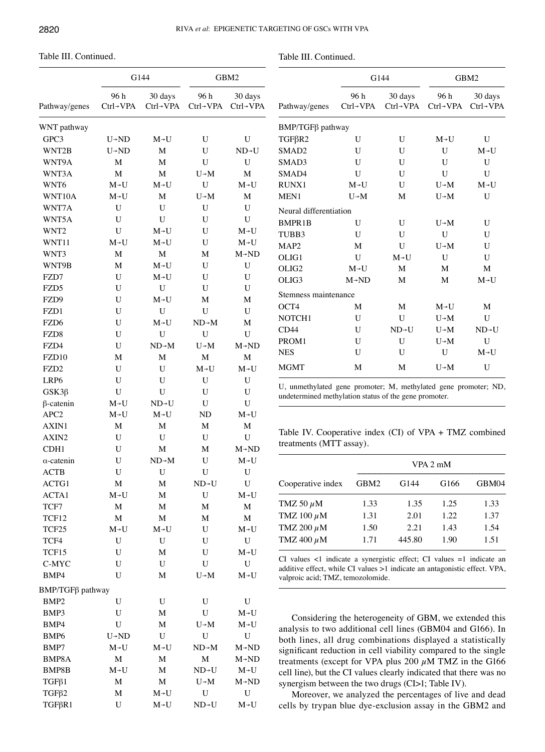Table III. Continued.

Table III. Continued.

|                   |                      | G144                 | GBM2               |                      |  |
|-------------------|----------------------|----------------------|--------------------|----------------------|--|
| Pathway/genes     | 96 h<br>Ctrl→VPA     | 30 days<br>Ctrl→VPA  | 96 h<br>Ctrl→VPA   | 30 days<br>Ctrl→VPA  |  |
| WNT pathway       |                      |                      |                    |                      |  |
| GPC3              | $U \rightarrow ND$   | $M\neg U$            | U                  | U                    |  |
| WNT2B             | $U \rightarrow ND$   | M                    | U                  | $ND \rightarrow U$   |  |
| WNT9A             | M                    | М                    | U                  | U                    |  |
| WNT3A             | M                    | $\mathbf M$          | $U \rightarrow M$  | M                    |  |
| WNT6              | $M\nightharpoonup U$ | $M\nightharpoonup U$ | $\mathbf U$        | $M\nightharpoonup U$ |  |
| WNT10A            | $M\nightharpoonup U$ | M                    | $U \rightarrow M$  | M                    |  |
| WNT7A             | U                    | U                    | U                  | U                    |  |
| WNT5A             | U                    | U                    | U                  | U                    |  |
| WNT <sub>2</sub>  | U                    | $M\nightharpoonup U$ | U                  | $M\nightharpoonup U$ |  |
| WNT11             | $M\neg U$            | $M\nightharpoonup U$ | U                  |                      |  |
| WNT3              | M                    | M                    | M                  | $M \rightarrow ND$   |  |
| WNT9B             | $\mathbf{M}$         | $M\nightharpoonup U$ | U                  | $\mathbf U$          |  |
| FZD7              | U                    | $M\neg U$            | U                  | U                    |  |
| FZD5              | U                    | U                    | U                  | U                    |  |
| FZD9              | U                    | $M\neg U$            | М                  | M                    |  |
| FZD1              | U                    | U                    | U                  | U                    |  |
| FZD <sub>6</sub>  | U                    | $M\nightharpoonup U$ | $ND \rightarrow M$ | M                    |  |
| FZD <sub>8</sub>  | U                    | U                    | U                  | U                    |  |
| FZD4              | U                    | $ND \rightarrow M$   | $U \rightarrow M$  | $M \rightarrow ND$   |  |
| FZD10             | M                    | M                    | M                  | M                    |  |
| FZD <sub>2</sub>  | U                    | U                    | $M\neg U$          | $M\neg U$            |  |
| LRP6              | U                    | U                    | U                  | U                    |  |
| $GSK3\beta$       | U                    | U                    | U                  | U                    |  |
| $\beta$ -catenin  | $M\nightharpoonup U$ | $ND \rightarrow U$   | U                  | U                    |  |
| APC <sub>2</sub>  | $M\neg U$            | $M\nightharpoonup U$ | <b>ND</b>          | $M\nightharpoonup U$ |  |
| AXIN1             | $\mathbf M$          | $\mathbf{M}$         | M                  | M                    |  |
| AXIN2             | U                    | U                    | U                  | $\mathbf U$          |  |
| CDH <sub>1</sub>  | U                    | M                    | M                  | $M \rightarrow ND$   |  |
| $\alpha$ -catenin | U                    | $ND \rightarrow M$   | U                  | $M\neg U$            |  |
| <b>ACTB</b>       | U                    | U                    | U                  | U                    |  |
| ACTG1             | $\overline{M}$       | M                    | $ND \rightarrow U$ | U                    |  |
| ACTA1             | $M\neg U$            | M                    | U                  | $M\neg U$            |  |
| TCF7              | M                    | M                    | M                  | $\mathbf M$          |  |
| TCF12             | M                    | $\mathbf M$          | M                  | $\mathbf M$          |  |
| TCF25             | $M\nightharpoonup U$ | $M\nightharpoonup U$ | U                  | $M\neg U$            |  |
| TCF4              | U                    | $\mathbf U$          | U                  | U                    |  |
| TCF15             | U                    | M                    | U                  | $M\neg U$            |  |
| C-MYC             | U                    | $\mathbf U$          | U                  | $\mathbf U$          |  |
| BMP4              | U                    | M                    | $U \rightarrow M$  | $M\neg U$            |  |
| BMP/TGFβ pathway  |                      |                      |                    |                      |  |
| BMP <sub>2</sub>  | U                    | U                    | U                  | U                    |  |
| BMP3              | U                    | M                    | U                  | $M\neg U$            |  |
| BMP4              | $\mathbf U$          | M                    | $U \rightarrow M$  | $M\neg U$            |  |
| BMP <sub>6</sub>  | $U \rightarrow ND$   | $\mathbf U$          | U                  | U                    |  |
| BMP7              | $M\neg U$            | $M\neg U$            | $ND \rightarrow M$ | $M \rightarrow ND$   |  |
| BMP8A             | M                    | M                    | M                  | $M \rightarrow ND$   |  |
| BMP8B             | $M\neg U$            | M                    | $ND \rightarrow U$ | $M\neg U$            |  |
| $TGF\beta1$       | M                    | M                    | $U \rightarrow M$  | $M \rightarrow ND$   |  |
| TGF <sub>B2</sub> | M                    | $M\neg U$            | U                  | ${\bf U}$            |  |
| TGFβR1            | U                    | $M\neg U$            | $ND \rightarrow U$ | $M\neg U$            |  |
|                   |                      |                      |                    |                      |  |

|                        |                    | G144                              |                                | GBM2                              |
|------------------------|--------------------|-----------------------------------|--------------------------------|-----------------------------------|
| Pathway/genes          | 96 h<br>Ctrl→VPA   | 30 days<br>$Ctrl \rightarrow VPA$ | 96 h<br>$Ctrl \rightarrow VPA$ | 30 days<br>$Ctrl \rightarrow VPA$ |
| BMP/TGFβ pathway       |                    |                                   |                                |                                   |
| TGF <sub>BR2</sub>     | U                  | U                                 | $M\neg U$                      | U                                 |
| SMAD <sub>2</sub>      | U                  | U                                 | U                              | $M \rightarrow U$                 |
| SMAD3                  | U                  | U                                 | U                              | U                                 |
| SMAD4                  | U                  | U                                 | U                              | U                                 |
| <b>RUNX1</b>           | $M\neg U$          | U                                 | $U \rightarrow M$              | $M\neg U$                         |
| MEN1                   | $U \rightarrow M$  | М                                 | $U \rightarrow M$              | U                                 |
| Neural differentiation |                    |                                   |                                |                                   |
| <b>BMPR1B</b>          | U                  | U                                 | $U \rightarrow M$              | U                                 |
| TUBB3                  | U                  | U                                 | U                              | U                                 |
| MAP <sub>2</sub>       | М                  | U                                 | $U \rightarrow M$              | U                                 |
| OLIG1                  | U                  | $M\neg U$                         | U                              | U                                 |
| OLIG2                  | $M\neg U$          | M                                 | М                              | M                                 |
| OLIG3                  | $M \rightarrow ND$ | M                                 | M                              | $M\neg U$                         |
| Stemness maintenance   |                    |                                   |                                |                                   |
| OCT4                   | M                  | M                                 | M→U                            | M                                 |
| NOTCH <sub>1</sub>     | U                  | U                                 | $U \rightarrow M$              | U                                 |
| CD44                   | U                  | $ND - U$                          | $U \rightarrow M$              | $ND - U$                          |
| PROM1                  | U                  | U                                 | $U \rightarrow M$              | U                                 |
| <b>NES</b>             | U                  | U                                 | U                              | $M\neg U$                         |
| <b>MGMT</b>            | M                  | M                                 | $U \rightarrow M$              | U                                 |

U, unmethylated gene promoter; M, methylated gene promoter; ND, undetermined methylation status of the gene promoter.

Table IV. Cooperative index (CI) of VPA + TMZ combined treatments (MTT assay).

|                   |      |        | VPA 2 mM |       |
|-------------------|------|--------|----------|-------|
| Cooperative index | GBM2 | G144   | G166     | GBM04 |
| TMZ 50 $\mu$ M    | 1.33 | 1.35   | 1.25     | 1.33  |
| TMZ 100 $\mu$ M   | 1.31 | 2.01   | 1.22.    | 1.37  |
| TMZ 200 $\mu$ M   | 1.50 | 2.21   | 1.43     | 1.54  |
| TMZ 400 $\mu$ M   | 1.71 | 445.80 | 1.90     | 1.51  |

CI values <1 indicate a synergistic effect; CI values =1 indicate an additive effect, while CI values >1 indicate an antagonistic effect. VPA, valproic acid; TMZ, temozolomide.

Considering the heterogeneity of GBM, we extended this analysis to two additional cell lines (GBM04 and G166). In both lines, all drug combinations displayed a statistically significant reduction in cell viability compared to the single treatments (except for VPA plus 200  $\mu$ M TMZ in the G166 cell line), but the CI values clearly indicated that there was no synergism between the two drugs (CI>1; Table IV).

Moreover, we analyzed the percentages of live and dead cells by trypan blue dye-exclusion assay in the GBM2 and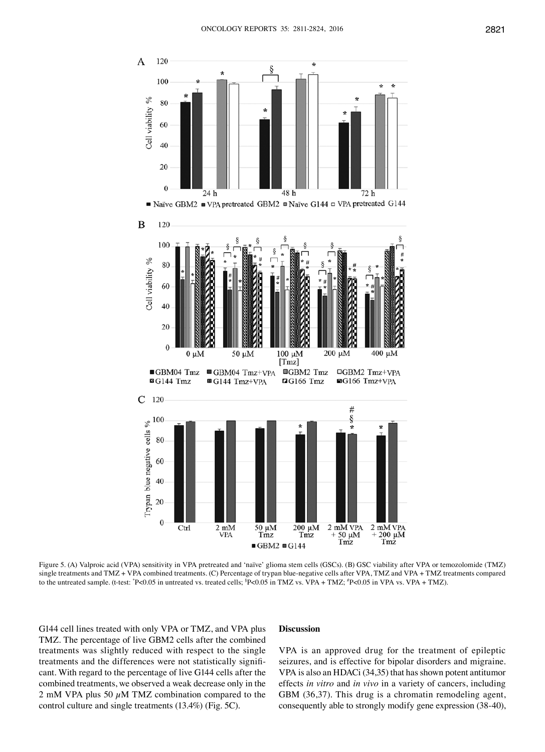

Figure 5. (A) Valproic acid (VPA) sensitivity in VPA pretreated and 'naïve' glioma stem cells (GSCs). (B) GSC viability after VPA or temozolomide (TMZ) single treatments and TMZ + VPA combined treatments. (C) Percentage of trypan blue-negative cells after VPA, TMZ and VPA + TMZ treatments compared to the untreated sample. (t-test: \*P<0.05 in untreated vs. treated cells; \*P<0.05 in TMZ vs. VPA + TMZ; \*P<0.05 in VPA vs. VPA + TMZ).

G144 cell lines treated with only VPA or TMZ, and VPA plus TMZ. The percentage of live GBM2 cells after the combined treatments was slightly reduced with respect to the single treatments and the differences were not statistically significant. With regard to the percentage of live G144 cells after the combined treatments, we observed a weak decrease only in the 2 mM VPA plus 50  $\mu$ M TMZ combination compared to the control culture and single treatments (13.4%) (Fig. 5C).

## **Discussion**

VPA is an approved drug for the treatment of epileptic seizures, and is effective for bipolar disorders and migraine. VPA is also an HDACi (34,35) that has shown potent antitumor effects *in vitro* and *in vivo* in a variety of cancers, including GBM (36,37). This drug is a chromatin remodeling agent, consequently able to strongly modify gene expression (38-40),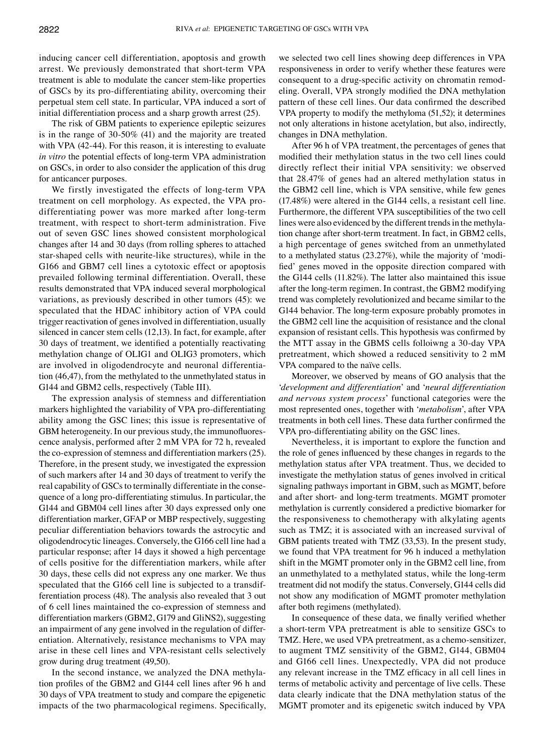inducing cancer cell differentiation, apoptosis and growth arrest. We previously demonstrated that short-term VPA treatment is able to modulate the cancer stem-like properties of GSCs by its pro-differentiating ability, overcoming their perpetual stem cell state. In particular, VPA induced a sort of initial differentiation process and a sharp growth arrest (25).

The risk of GBM patients to experience epileptic seizures is in the range of 30-50% (41) and the majority are treated with VPA (42-44). For this reason, it is interesting to evaluate *in vitro* the potential effects of long-term VPA administration on GSCs, in order to also consider the application of this drug for anticancer purposes.

We firstly investigated the effects of long-term VPA treatment on cell morphology. As expected, the VPA prodifferentiating power was more marked after long-term treatment, with respect to short-term administration. Five out of seven GSC lines showed consistent morphological changes after 14 and 30 days (from rolling spheres to attached star-shaped cells with neurite-like structures), while in the G166 and GBM7 cell lines a cytotoxic effect or apoptosis prevailed following terminal differentiation. Overall, these results demonstrated that VPA induced several morphological variations, as previously described in other tumors (45): we speculated that the HDAC inhibitory action of VPA could trigger reactivation of genes involved in differentiation, usually silenced in cancer stem cells (12,13). In fact, for example, after 30 days of treatment, we identified a potentially reactivating methylation change of OLIG1 and OLIG3 promoters, which are involved in oligodendrocyte and neuronal differentiation (46,47), from the methylated to the unmethylated status in G144 and GBM2 cells, respectively (Table III).

The expression analysis of stemness and differentiation markers highlighted the variability of VPA pro-differentiating ability among the GSC lines; this issue is representative of GBM heterogeneity. In our previous study, the immunofluorescence analysis, performed after 2 mM VPA for 72 h, revealed the co-expression of stemness and differentiation markers(25). Therefore, in the present study, we investigated the expression of such markers after 14 and 30 days of treatment to verify the real capability of GSCs to terminally differentiate in the consequence of a long pro-differentiating stimulus. In particular, the G144 and GBM04 cell lines after 30 days expressed only one differentiation marker, GFAP or MBP respectively, suggesting peculiar differentiation behaviors towards the astrocytic and oligodendrocytic lineages. Conversely, the G166 cell line had a particular response; after 14 days it showed a high percentage of cells positive for the differentiation markers, while after 30 days, these cells did not express any one marker. We thus speculated that the G166 cell line is subjected to a transdifferentiation process (48). The analysis also revealed that 3 out of 6 cell lines maintained the co-expression of stemness and differentiation markers (GBM2, G179 and GliNS2), suggesting an impairment of any gene involved in the regulation of differentiation. Alternatively, resistance mechanisms to VPA may arise in these cell lines and VPA-resistant cells selectively grow during drug treatment (49,50).

In the second instance, we analyzed the DNA methylation profiles of the GBM2 and G144 cell lines after 96 h and 30 days of VPA treatment to study and compare the epigenetic impacts of the two pharmacological regimens. Specifically, we selected two cell lines showing deep differences in VPA responsiveness in order to verify whether these features were consequent to a drug-specific activity on chromatin remodeling. Overall, VPA strongly modified the DNA methylation pattern of these cell lines. Our data confirmed the described VPA property to modify the methyloma (51,52); it determines not only alterations in histone acetylation, but also, indirectly, changes in DNA methylation.

After 96 h of VPA treatment, the percentages of genes that modified their methylation status in the two cell lines could directly reflect their initial VPA sensitivity: we observed that 28.47% of genes had an altered methylation status in the GBM2 cell line, which is VPA sensitive, while few genes (17.48%) were altered in the G144 cells, a resistant cell line. Furthermore, the different VPA susceptibilities of the two cell lines were also evidenced by the different trends in the methylation change after short-term treatment. In fact, in GBM2 cells, a high percentage of genes switched from an unmethylated to a methylated status (23.27%), while the majority of 'modified' genes moved in the opposite direction compared with the G144 cells (11.82%). The latter also maintained this issue after the long-term regimen. In contrast, the GBM2 modifying trend was completely revolutionized and became similar to the G144 behavior. The long-term exposure probably promotes in the GBM2 cell line the acquisition of resistance and the clonal expansion of resistant cells. This hypothesis was confirmed by the MTT assay in the GBMS cells folloiwng a 30-day VPA pretreatment, which showed a reduced sensitivity to 2 mM VPA compared to the naïve cells.

Moreover, we observed by means of GO analysis that the '*development and differentiation*' and '*neural differentiation and nervous system process*' functional categories were the most represented ones, together with '*metabolism*', after VPA treatments in both cell lines. These data further confirmed the VPA pro-differentiating ability on the GSC lines.

Nevertheless, it is important to explore the function and the role of genes influenced by these changes in regards to the methylation status after VPA treatment. Thus, we decided to investigate the methylation status of genes involved in critical signaling pathways important in GBM, such as MGMT, before and after short- and long-term treatments. MGMT promoter methylation is currently considered a predictive biomarker for the responsiveness to chemotherapy with alkylating agents such as TMZ; it is associated with an increased survival of GBM patients treated with TMZ (33,53). In the present study, we found that VPA treatment for 96 h induced a methylation shift in the MGMT promoter only in the GBM2 cell line, from an unmethylated to a methylated status, while the long-term treatment did not modify the status. Conversely, G144 cells did not show any modification of MGMT promoter methylation after both regimens (methylated).

In consequence of these data, we finally verified whether a short-term VPA pretreatment is able to sensitize GSCs to TMZ. Here, we used VPA pretreatment, as a chemo-sensitizer, to augment TMZ sensitivity of the GBM2, G144, GBM04 and G166 cell lines. Unexpectedly, VPA did not produce any relevant increase in the TMZ efficacy in all cell lines in terms of metabolic activity and percentage of live cells. These data clearly indicate that the DNA methylation status of the MGMT promoter and its epigenetic switch induced by VPA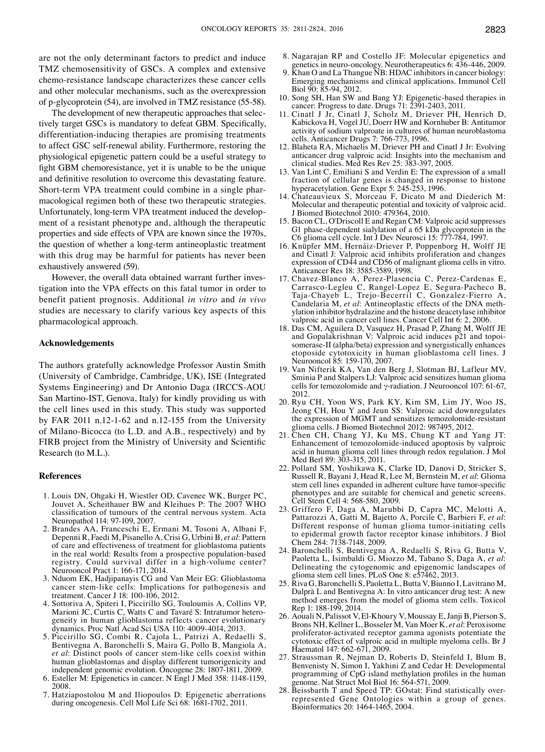are not the only determinant factors to predict and induce TMZ chemosensitivity of GSCs. A complex and extensive chemo-resistance landscape characterizes these cancer cells and other molecular mechanisms, such as the overexpression of p-glycoprotein (54), are involved in TMZ resistance (55-58).

The development of new therapeutic approaches that selectively target GSCs is mandatory to defeat GBM. Specifically, differentiation-inducing therapies are promising treatments to affect GSC self-renewal ability. Furthermore, restoring the physiological epigenetic pattern could be a useful strategy to fight GBM chemoresistance, yet it is unable to be the unique and definitive resolution to overcome this devastating feature. Short-term VPA treatment could combine in a single pharmacological regimen both of these two therapeutic strategies. Unfortunately, long-term VPA treatment induced the development of a resistant phenotype and, although the therapeutic properties and side effects of VPA are known since the 1970s, the question of whether a long-term antineoplastic treatment with this drug may be harmful for patients has never been exhaustively answered (59).

However, the overall data obtained warrant further investigation into the VPA effects on this fatal tumor in order to benefit patient prognosis. Additional *in vitro* and *in vivo* studies are necessary to clarify various key aspects of this pharmacological approach.

## **Acknowledgements**

The authors gratefully acknowledge Professor Austin Smith (University of Cambridge, Cambridge, UK), ISE (Integrated Systems Engineering) and Dr Antonio Daga (IRCCS-AOU San Martino-IST, Genova, Italy) for kindly providing us with the cell lines used in this study. This study was supported by FAR 2011 n.12-1-62 and n.12-155 from the University of Milano-Bicocca (to L.D. and A.B., respectively) and by FIRB project from the Ministry of University and Scientific Research (to M.L.).

#### **References**

- 1. Louis DN, Ohgaki H, Wiestler OD, Cavenee WK, Burger PC, Jouvet A, Scheithauer BW and Kleihues P: The 2007 WHO classification of tumours of the central nervous system. Acta Neuropathol 114: 97-109, 2007.
- 2. Brandes AA, Franceschi E, Ermani M, Tosoni A, Albani F, Depenni R, Faedi M, Pisanello A, Crisi G, Urbini B, *et al*: Pattern of care and effectiveness of treatment for glioblastoma patients in the real world: Results from a prospective population-based registry. Could survival differ in a high-volume center? Neurooncol Pract 1: 166-171, 2014.
- 3. Nduom EK, Hadjipanayis CG and Van Meir EG: Glioblastoma cancer stem-like cells: Implications for pathogenesis and treatment. Cancer J 18: 100-106, 2012.
- 4. Sottoriva A, Spiteri I, Piccirillo SG, Touloumis A, Collins VP, Marioni JC, Curtis C, Watts C and Tavaré S: Intratumor heterogeneity in human glioblastoma reflects cancer evolutionary dynamics. Proc Natl Acad Sci USA 110: 4009-4014, 2013.
- 5. Piccirillo SG, Combi R, Cajola L, Patrizi A, Redaelli S, Bentivegna A, Baronchelli S, Maira G, Pollo B, Mangiola A, *et al*: Distinct pools of cancer stem-like cells coexist within human glioblastomas and display different tumorigenicity and independent genomic evolution. Oncogene 28: 1807-1811, 2009.
- 6. Esteller M: Epigenetics in cancer. N Engl J Med 358: 1148-1159, 2008.
- 7. Hatziapostolou M and Iliopoulos D: Epigenetic aberrations during oncogenesis. Cell Mol Life Sci 68: 1681-1702, 2011.
- 8. Nagarajan RP and Costello JF: Molecular epigenetics and genetics in neuro-oncology. Neurotherapeutics 6: 436-446, 2009.
- 9. Khan O and La Thangue NB: HDAC inhibitors in cancer biology: Emerging mechanisms and clinical applications. Immunol Cell Biol 90: 85-94, 2012.
- 10. Song SH, Han SW and Bang YJ: Epigenetic-based therapies in cancer: Progress to date. Drugs 71: 2391-2403, 2011.
- 11. Cinatl J Jr, Cinatl J, Scholz M, Driever PH, Henrich D, Kabickova H, Vogel JU, Doerr HW and Kornhuber B: Antitumor activity of sodium valproate in cultures of human neuroblastoma cells. Anticancer Drugs 7: 766-773, 1996.
- 12. Blaheta RA, Michaelis M, Driever PH and Cinatl J Jr: Evolving anticancer drug valproic acid: Insights into the mechanism and clinical studies. Med Res Rev 25: 383-397, 2005.
- 13. Van Lint C, Emiliani S and Verdin E: The expression of a small fraction of cellular genes is changed in response to histone hyperacetylation. Gene Expr 5: 245-253, 1996.
- 14. Chateauvieux S, Morceau F, Dicato M and Diederich M: Molecular and therapeutic potential and toxicity of valproic acid. J Biomed Biotechnol 2010: 479364, 2010.
- 15. Bacon CL, O'Driscoll E and Regan CM: Valproic acid suppresses G1 phase-dependent sialylation of a 65 kDa glycoprotein in the C6 glioma cell cycle. Int J Dev Neurosci 15: 777-784, 1997.
- 16. Knüpfer MM, Hernáiz-Driever P, Poppenborg H, Wolff JE and Cinatl J: Valproic acid inhibits proliferation and changes expression of CD44 and CD56 of malignant glioma cells in vitro. Anticancer Res 18: 3585-3589, 1998.
- 17. Chavez-Blanco A, Perez-Plasencia C, Perez-Cardenas E, Carrasco-Legleu C, Rangel-Lopez E, Segura-Pacheco B, Taja-Chayeb L, Trejo-Becerril C, Gonzalez-Fierro A, Candelaria M, *et al*: Antineoplastic effects of the DNA methylation inhibitor hydralazine and the histone deacetylase inhibitor valproic acid in cancer cell lines. Cancer Cell Int 6: 2, 2006.
- 18. Das CM, Aguilera D, Vasquez H, Prasad P, Zhang M, Wolff JE and Gopalakrishnan V: Valproic acid induces p21 and topoisomerase-II (alpha/beta) expression and synergistically enhances etoposide cytotoxicity in human glioblastoma cell lines. J Neurooncol 85: 159-170, 2007.
- 19. Van Nifterik KA, Van den Berg J, Slotman BJ, Lafleur MV, Sminia P and Stalpers LJ: Valproic acid sensitizes human glioma cells for temozolomide and γ-radiation. J Neurooncol 107: 61-67, 2012.
- 20. Ryu CH, Yoon WS, Park KY, Kim SM, Lim JY, Woo JS, Jeong CH, Hou Y and Jeun SS: Valproic acid downregulates the expression of MGMT and sensitizes temozolomide-resistant glioma cells. J Biomed Biotechnol 2012: 987495, 2012.
- 21. Chen CH, Chang YJ, Ku MS, Chung KT and Yang JT: Enhancement of temozolomide-induced apoptosis by valproic acid in human glioma cell lines through redox regulation. J Mol Med Berl 89: 303-315, 2011.
- 22. Pollard SM, Yoshikawa K, Clarke ID, Danovi D, Stricker S, Russell R, Bayani J, Head R, Lee M, Bernstein M, *et al*: Glioma stem cell lines expanded in adherent culture have tumor-specific phenotypes and are suitable for chemical and genetic screens. Cell Stem Cell 4: 568-580, 2009.
- 23. Griffero F, Daga A, Marubbi D, Capra MC, Melotti A, Pattarozzi A, Gatti M, Bajetto A, Porcile C, Barbieri F, *et al*: Different response of human glioma tumor-initiating cells to epidermal growth factor receptor kinase inhibitors. J Biol Chem 284: 7138-7148, 2009.
- 24. Baronchelli S, Bentivegna A, Redaelli S, Riva G, Butta V, Paoletta L, Isimbaldi G, Miozzo M, Tabano S, Daga A, *et al*: Delineating the cytogenomic and epigenomic landscapes of glioma stem cell lines. PLoS One 8: e57462, 2013.
- 25. Riva G, Baronchelli S, Paoletta L, Butta V, Biunno I, Lavitrano M, Dalprà L and Bentivegna A: In vitro anticancer drug test: A new method emerges from the model of glioma stem cells. Toxicol Rep 1: 188-199, 2014.
- 26. Aouali N, Palissot V, El-Khoury V, Moussay E, Janji B, Pierson S, Brons NH, Kellner L, Bosseler M, Van Moer K, *et al*: Peroxisome proliferator-activated receptor gamma agonists potentiate the cytotoxic effect of valproic acid in multiple myeloma cells. Br J Haematol 147: 662-671, 2009.
- 27. Straussman R, Nejman D, Roberts D, Steinfeld I, Blum B, Benvenisty N, Simon I, Yakhini Z and Cedar H: Developmental programming of CpG island methylation profiles in the human genome. Nat Struct Mol Biol 16: 564-571, 2009.
- 28. Beissbarth T and Speed TP: GOstat: Find statistically overrepresented Gene Ontologies within a group of genes. Bioinformatics 20: 1464-1465, 2004.